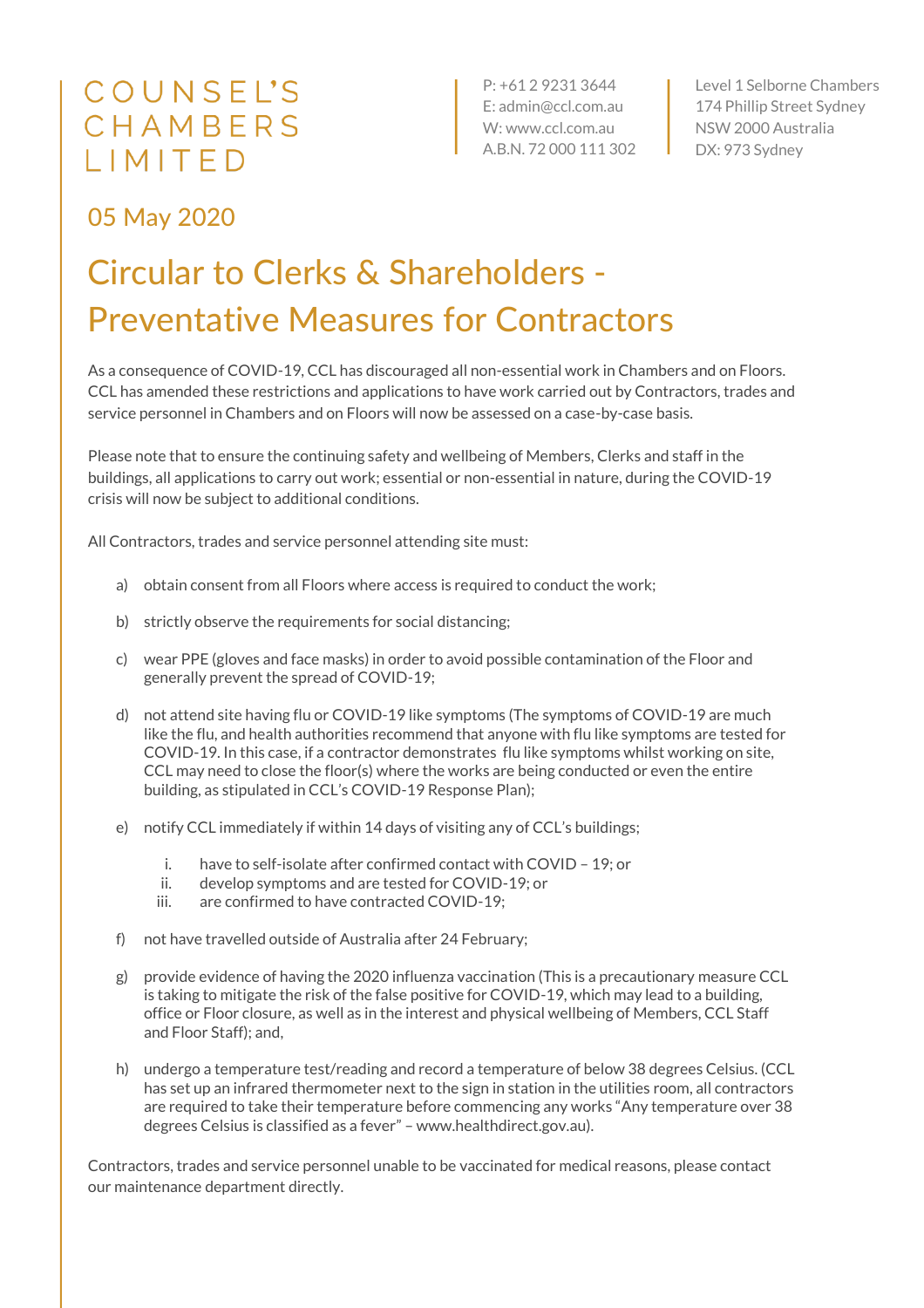## COUNSEL'S CHAMBERS LIMITED

P: +61 2 9231 3644 E: admin@ccl.com.au W: www.ccl.com.au A.B.N. 72 000 111 302

Level 1 Selborne Chambers 174 Phillip Street Sydney NSW 2000 Australia DX: 973 Sydney

## 05 May 2020

## Circular to Clerks & Shareholders - Preventative Measures for Contractors

As a consequence of COVID-19, CCL has discouraged all non-essential work in Chambers and on Floors. CCL has amended these restrictions and applications to have work carried out by Contractors, trades and service personnel in Chambers and on Floors will now be assessed on a case-by-case basis.

Please note that to ensure the continuing safety and wellbeing of Members, Clerks and staff in the buildings, all applications to carry out work; essential or non-essential in nature, during the COVID-19 crisis will now be subject to additional conditions.

All Contractors, trades and service personnel attending site must:

- a) obtain consent from all Floors where access is required to conduct the work;
- b) strictly observe the requirements for social distancing;
- c) wear PPE (gloves and face masks) in order to avoid possible contamination of the Floor and generally prevent the spread of COVID-19;
- d) not attend site having flu or COVID-19 like symptoms (The symptoms of COVID-19 are much like the flu, and health authorities recommend that anyone with flu like symptoms are tested for COVID-19. In this case, if a contractor demonstrates flu like symptoms whilst working on site, CCL may need to close the floor(s) where the works are being conducted or even the entire building, as stipulated in CCL's COVID-19 Response Plan);
- e) notify CCL immediately if within 14 days of visiting any of CCL's buildings;
	- i. have to self-isolate after confirmed contact with COVID 19; or
	- ii. develop symptoms and are tested for COVID-19; or
	- iii. are confirmed to have contracted COVID-19;
- f) not have travelled outside of Australia after 24 February;
- g) provide evidence of having the 2020 influenza vaccination (This is a precautionary measure CCL is taking to mitigate the risk of the false positive for COVID-19, which may lead to a building, office or Floor closure, as well as in the interest and physical wellbeing of Members, CCL Staff and Floor Staff); and,
- h) undergo a temperature test/reading and record a temperature of below 38 degrees Celsius. (CCL has set up an infrared thermometer next to the sign in station in the utilities room, all contractors are required to take their temperature before commencing any works "Any temperature over 38 degrees Celsius is classified as a fever" – www.healthdirect.gov.au).

Contractors, trades and service personnel unable to be vaccinated for medical reasons, please contact our maintenance department directly.